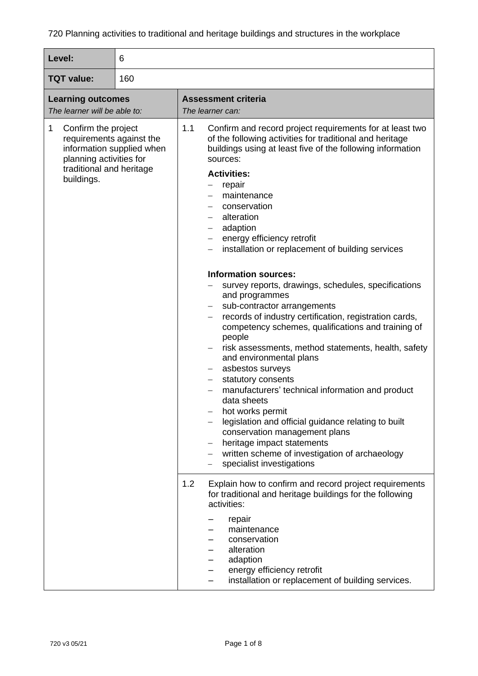| Level:                                                                                                                                                 | 6 |                                                                                                                                                                                                                                                                                                                                                                                                                                                                                                                                                                                                                                                        |
|--------------------------------------------------------------------------------------------------------------------------------------------------------|---|--------------------------------------------------------------------------------------------------------------------------------------------------------------------------------------------------------------------------------------------------------------------------------------------------------------------------------------------------------------------------------------------------------------------------------------------------------------------------------------------------------------------------------------------------------------------------------------------------------------------------------------------------------|
| <b>TQT</b> value:<br>160                                                                                                                               |   |                                                                                                                                                                                                                                                                                                                                                                                                                                                                                                                                                                                                                                                        |
| <b>Learning outcomes</b><br>The learner will be able to:                                                                                               |   | <b>Assessment criteria</b><br>The learner can:                                                                                                                                                                                                                                                                                                                                                                                                                                                                                                                                                                                                         |
| 1<br>Confirm the project<br>requirements against the<br>information supplied when<br>planning activities for<br>traditional and heritage<br>buildings. |   | 1.1<br>Confirm and record project requirements for at least two<br>of the following activities for traditional and heritage<br>buildings using at least five of the following information<br>sources:<br><b>Activities:</b><br>repair<br>maintenance<br>conservation<br>alteration<br>adaption<br>energy efficiency retrofit<br>installation or replacement of building services<br><b>Information sources:</b>                                                                                                                                                                                                                                        |
|                                                                                                                                                        |   | survey reports, drawings, schedules, specifications<br>and programmes<br>sub-contractor arrangements<br>records of industry certification, registration cards,<br>competency schemes, qualifications and training of<br>people<br>risk assessments, method statements, health, safety<br>and environmental plans<br>asbestos surveys<br>statutory consents<br>manufacturers' technical information and product<br>data sheets<br>hot works permit<br>legislation and official guidance relating to built<br>conservation management plans<br>heritage impact statements<br>written scheme of investigation of archaeology<br>specialist investigations |
|                                                                                                                                                        |   | 1.2<br>Explain how to confirm and record project requirements<br>for traditional and heritage buildings for the following<br>activities:<br>repair<br>maintenance<br>conservation<br>alteration<br>adaption<br>energy efficiency retrofit<br>installation or replacement of building services.                                                                                                                                                                                                                                                                                                                                                         |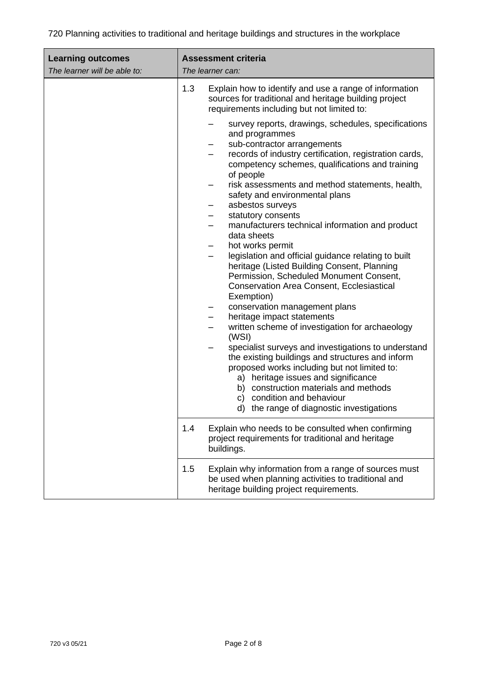| <b>Learning outcomes</b><br>The learner will be able to: | <b>Assessment criteria</b><br>The learner can:                                                                                                                                                                                                                                                                                                                                                                                                                                                                                                                                                                                                                                                                                                                                                                                                                                                                                                                                                      |
|----------------------------------------------------------|-----------------------------------------------------------------------------------------------------------------------------------------------------------------------------------------------------------------------------------------------------------------------------------------------------------------------------------------------------------------------------------------------------------------------------------------------------------------------------------------------------------------------------------------------------------------------------------------------------------------------------------------------------------------------------------------------------------------------------------------------------------------------------------------------------------------------------------------------------------------------------------------------------------------------------------------------------------------------------------------------------|
|                                                          | 1.3<br>Explain how to identify and use a range of information<br>sources for traditional and heritage building project<br>requirements including but not limited to:                                                                                                                                                                                                                                                                                                                                                                                                                                                                                                                                                                                                                                                                                                                                                                                                                                |
|                                                          | survey reports, drawings, schedules, specifications<br>and programmes<br>sub-contractor arrangements<br>records of industry certification, registration cards,<br>competency schemes, qualifications and training<br>of people<br>risk assessments and method statements, health,<br>safety and environmental plans<br>asbestos surveys<br>statutory consents<br>manufacturers technical information and product<br>data sheets<br>hot works permit<br>legislation and official guidance relating to built<br>heritage (Listed Building Consent, Planning<br>Permission, Scheduled Monument Consent,<br><b>Conservation Area Consent, Ecclesiastical</b><br>Exemption)<br>conservation management plans<br>heritage impact statements<br>written scheme of investigation for archaeology<br>(WSI)<br>specialist surveys and investigations to understand<br>the existing buildings and structures and inform<br>proposed works including but not limited to:<br>a) heritage issues and significance |
|                                                          | b) construction materials and methods<br>c) condition and behaviour<br>d) the range of diagnostic investigations                                                                                                                                                                                                                                                                                                                                                                                                                                                                                                                                                                                                                                                                                                                                                                                                                                                                                    |
|                                                          | Explain who needs to be consulted when confirming<br>1.4<br>project requirements for traditional and heritage<br>buildings.                                                                                                                                                                                                                                                                                                                                                                                                                                                                                                                                                                                                                                                                                                                                                                                                                                                                         |
|                                                          | 1.5<br>Explain why information from a range of sources must<br>be used when planning activities to traditional and<br>heritage building project requirements.                                                                                                                                                                                                                                                                                                                                                                                                                                                                                                                                                                                                                                                                                                                                                                                                                                       |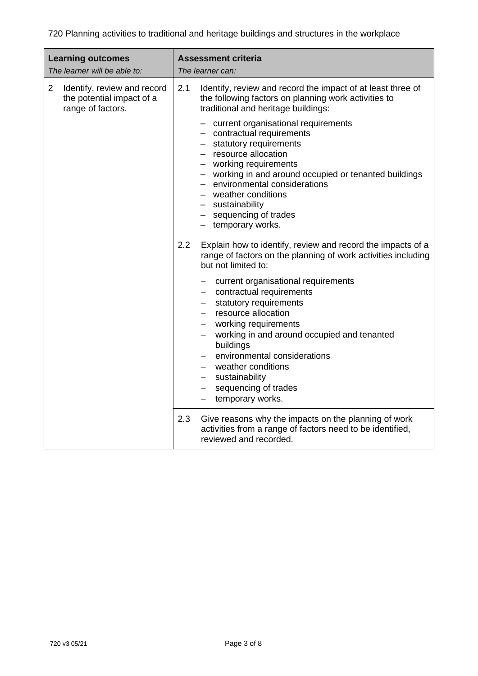| <b>Learning outcomes</b><br>The learner will be able to:                                        | <b>Assessment criteria</b><br>The learner can:                                                                                                                                                                                                                                                                                                                                                                                                                                                                  |
|-------------------------------------------------------------------------------------------------|-----------------------------------------------------------------------------------------------------------------------------------------------------------------------------------------------------------------------------------------------------------------------------------------------------------------------------------------------------------------------------------------------------------------------------------------------------------------------------------------------------------------|
| $\overline{2}$<br>Identify, review and record<br>the potential impact of a<br>range of factors. | Identify, review and record the impact of at least three of<br>2.1<br>the following factors on planning work activities to<br>traditional and heritage buildings:<br>- current organisational requirements<br>- contractual requirements<br>- statutory requirements<br>- resource allocation<br>- working requirements<br>- working in and around occupied or tenanted buildings<br>- environmental considerations<br>- weather conditions<br>- sustainability<br>- sequencing of trades<br>- temporary works. |
|                                                                                                 | 2.2<br>Explain how to identify, review and record the impacts of a<br>range of factors on the planning of work activities including<br>but not limited to:<br>current organisational requirements<br>- contractual requirements<br>statutory requirements<br>- resource allocation<br>- working requirements<br>working in and around occupied and tenanted<br>buildings<br>environmental considerations<br>- weather conditions<br>- sustainability<br>- sequencing of trades<br>temporary works.<br>$-$       |
|                                                                                                 | 2.3<br>Give reasons why the impacts on the planning of work<br>activities from a range of factors need to be identified,<br>reviewed and recorded.                                                                                                                                                                                                                                                                                                                                                              |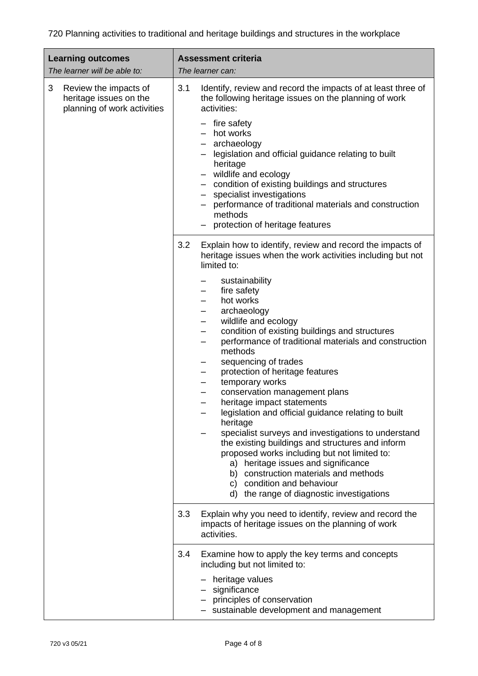| <b>Learning outcomes</b><br>The learner will be able to:                            | <b>Assessment criteria</b><br>The learner can:                                                                                                                                                                                                                                                                                                                                                                                                                                                                                                                                                                                                                                                                                                                                                                                                                                                                |
|-------------------------------------------------------------------------------------|---------------------------------------------------------------------------------------------------------------------------------------------------------------------------------------------------------------------------------------------------------------------------------------------------------------------------------------------------------------------------------------------------------------------------------------------------------------------------------------------------------------------------------------------------------------------------------------------------------------------------------------------------------------------------------------------------------------------------------------------------------------------------------------------------------------------------------------------------------------------------------------------------------------|
| 3<br>Review the impacts of<br>heritage issues on the<br>planning of work activities | 3.1<br>Identify, review and record the impacts of at least three of<br>the following heritage issues on the planning of work<br>activities:<br>fire safety<br>hot works<br>- archaeology<br>legislation and official guidance relating to built<br>heritage<br>- wildlife and ecology<br>- condition of existing buildings and structures<br>specialist investigations<br>performance of traditional materials and construction<br>methods<br>protection of heritage features<br>-                                                                                                                                                                                                                                                                                                                                                                                                                            |
|                                                                                     | Explain how to identify, review and record the impacts of<br>3.2<br>heritage issues when the work activities including but not<br>limited to:<br>sustainability<br>fire safety<br>hot works<br>archaeology<br>wildlife and ecology<br>-<br>condition of existing buildings and structures<br>—<br>performance of traditional materials and construction<br>—<br>methods<br>sequencing of trades<br>protection of heritage features<br>temporary works<br>conservation management plans<br>heritage impact statements<br>legislation and official guidance relating to built<br>heritage<br>specialist surveys and investigations to understand<br>the existing buildings and structures and inform<br>proposed works including but not limited to:<br>a) heritage issues and significance<br>b) construction materials and methods<br>c) condition and behaviour<br>d) the range of diagnostic investigations |
|                                                                                     | 3.3<br>Explain why you need to identify, review and record the<br>impacts of heritage issues on the planning of work<br>activities.                                                                                                                                                                                                                                                                                                                                                                                                                                                                                                                                                                                                                                                                                                                                                                           |
|                                                                                     | 3.4<br>Examine how to apply the key terms and concepts<br>including but not limited to:<br>- heritage values<br>- significance<br>- principles of conservation<br>- sustainable development and management                                                                                                                                                                                                                                                                                                                                                                                                                                                                                                                                                                                                                                                                                                    |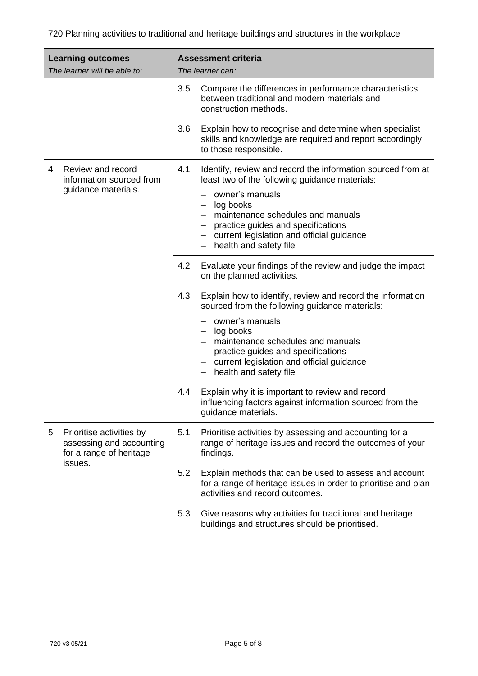| <b>Learning outcomes</b><br>The learner will be able to:                                        |     | <b>Assessment criteria</b><br>The learner can:                                                                                                                                                                                                                                                      |                                                                                                                                                                                       |
|-------------------------------------------------------------------------------------------------|-----|-----------------------------------------------------------------------------------------------------------------------------------------------------------------------------------------------------------------------------------------------------------------------------------------------------|---------------------------------------------------------------------------------------------------------------------------------------------------------------------------------------|
|                                                                                                 |     | 3.5                                                                                                                                                                                                                                                                                                 | Compare the differences in performance characteristics<br>between traditional and modern materials and<br>construction methods.                                                       |
|                                                                                                 |     | 3.6                                                                                                                                                                                                                                                                                                 | Explain how to recognise and determine when specialist<br>skills and knowledge are required and report accordingly<br>to those responsible.                                           |
| Review and record<br>4<br>information sourced from<br>guidance materials.                       | 4.1 | Identify, review and record the information sourced from at<br>least two of the following guidance materials:<br>owner's manuals<br>log books<br>- maintenance schedules and manuals<br>practice guides and specifications<br>current legislation and official guidance<br>- health and safety file |                                                                                                                                                                                       |
|                                                                                                 |     | 4.2                                                                                                                                                                                                                                                                                                 | Evaluate your findings of the review and judge the impact<br>on the planned activities.                                                                                               |
|                                                                                                 |     | 4.3                                                                                                                                                                                                                                                                                                 | Explain how to identify, review and record the information<br>sourced from the following guidance materials:                                                                          |
|                                                                                                 |     |                                                                                                                                                                                                                                                                                                     | owner's manuals<br>log books<br>maintenance schedules and manuals<br>practice guides and specifications<br>current legislation and official guidance<br>health and safety file<br>$-$ |
|                                                                                                 |     | 4.4                                                                                                                                                                                                                                                                                                 | Explain why it is important to review and record<br>influencing factors against information sourced from the<br>guidance materials.                                                   |
| Prioritise activities by<br>5<br>assessing and accounting<br>for a range of heritage<br>issues. | 5.1 | Prioritise activities by assessing and accounting for a<br>range of heritage issues and record the outcomes of your<br>findings.                                                                                                                                                                    |                                                                                                                                                                                       |
|                                                                                                 |     | 5.2                                                                                                                                                                                                                                                                                                 | Explain methods that can be used to assess and account<br>for a range of heritage issues in order to prioritise and plan<br>activities and record outcomes.                           |
|                                                                                                 |     | 5.3                                                                                                                                                                                                                                                                                                 | Give reasons why activities for traditional and heritage<br>buildings and structures should be prioritised.                                                                           |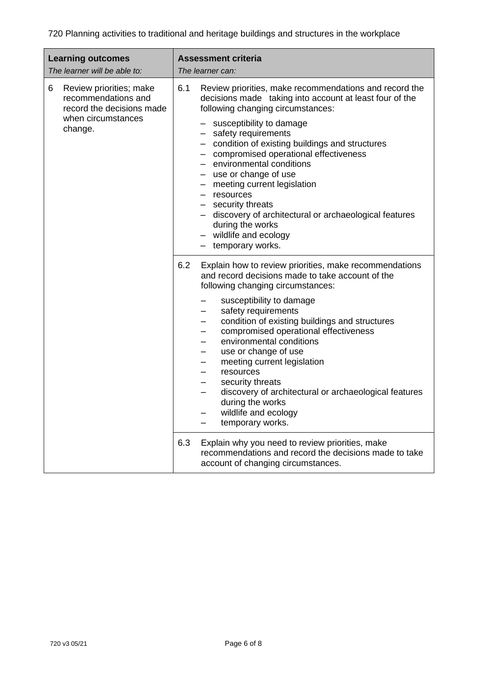| <b>Learning outcomes</b><br>The learner will be able to:                                                          | <b>Assessment criteria</b><br>The learner can:                                                                                                                                                                                                                                                                                                                                                                                                                                                                                                                                     |
|-------------------------------------------------------------------------------------------------------------------|------------------------------------------------------------------------------------------------------------------------------------------------------------------------------------------------------------------------------------------------------------------------------------------------------------------------------------------------------------------------------------------------------------------------------------------------------------------------------------------------------------------------------------------------------------------------------------|
| 6<br>Review priorities; make<br>recommendations and<br>record the decisions made<br>when circumstances<br>change. | 6.1<br>Review priorities, make recommendations and record the<br>decisions made taking into account at least four of the<br>following changing circumstances:<br>- susceptibility to damage<br>- safety requirements<br>- condition of existing buildings and structures<br>- compromised operational effectiveness<br>- environmental conditions<br>- use or change of use<br>- meeting current legislation<br>$-$ resources<br>- security threats<br>- discovery of architectural or archaeological features<br>during the works<br>- wildlife and ecology<br>- temporary works. |
|                                                                                                                   | 6.2<br>Explain how to review priorities, make recommendations<br>and record decisions made to take account of the<br>following changing circumstances:<br>susceptibility to damage<br>safety requirements<br>condition of existing buildings and structures<br>compromised operational effectiveness<br>environmental conditions<br>use or change of use<br>meeting current legislation<br>resources<br>security threats<br>discovery of architectural or archaeological features<br>during the works<br>wildlife and ecology<br>temporary works.                                  |
|                                                                                                                   | 6.3<br>Explain why you need to review priorities, make<br>recommendations and record the decisions made to take<br>account of changing circumstances.                                                                                                                                                                                                                                                                                                                                                                                                                              |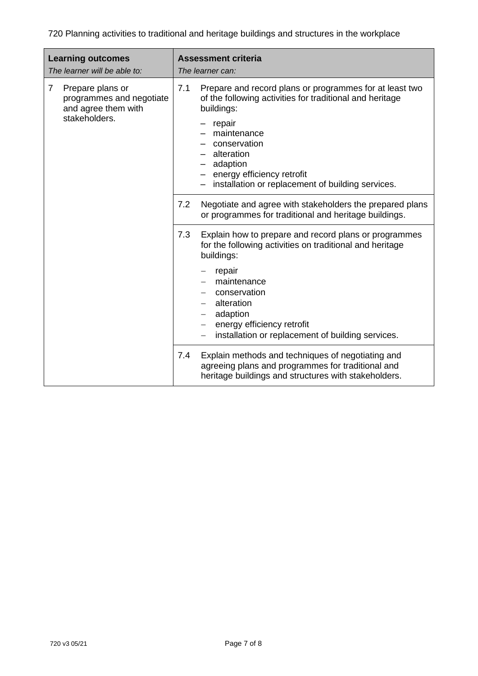| <b>Learning outcomes</b><br>The learner will be able to:                                               | <b>Assessment criteria</b><br>The learner can:                                                                                                                                                                                                                                                                                                                                                                                                                                                                                                                                                                                                                                                                                 |  |
|--------------------------------------------------------------------------------------------------------|--------------------------------------------------------------------------------------------------------------------------------------------------------------------------------------------------------------------------------------------------------------------------------------------------------------------------------------------------------------------------------------------------------------------------------------------------------------------------------------------------------------------------------------------------------------------------------------------------------------------------------------------------------------------------------------------------------------------------------|--|
| Prepare plans or<br>$\overline{7}$<br>programmes and negotiate<br>and agree them with<br>stakeholders. | 7.1<br>Prepare and record plans or programmes for at least two<br>of the following activities for traditional and heritage<br>buildings:<br>repair<br>maintenance<br>conservation<br>alteration<br>- adaption<br>- energy efficiency retrofit<br>installation or replacement of building services.<br>7.2<br>Negotiate and agree with stakeholders the prepared plans<br>or programmes for traditional and heritage buildings.<br>7.3<br>Explain how to prepare and record plans or programmes<br>for the following activities on traditional and heritage<br>buildings:<br>repair<br>maintenance<br>conservation<br>alteration<br>adaption<br>energy efficiency retrofit<br>installation or replacement of building services. |  |
|                                                                                                        | Explain methods and techniques of negotiating and<br>7.4<br>agreeing plans and programmes for traditional and<br>heritage buildings and structures with stakeholders.                                                                                                                                                                                                                                                                                                                                                                                                                                                                                                                                                          |  |